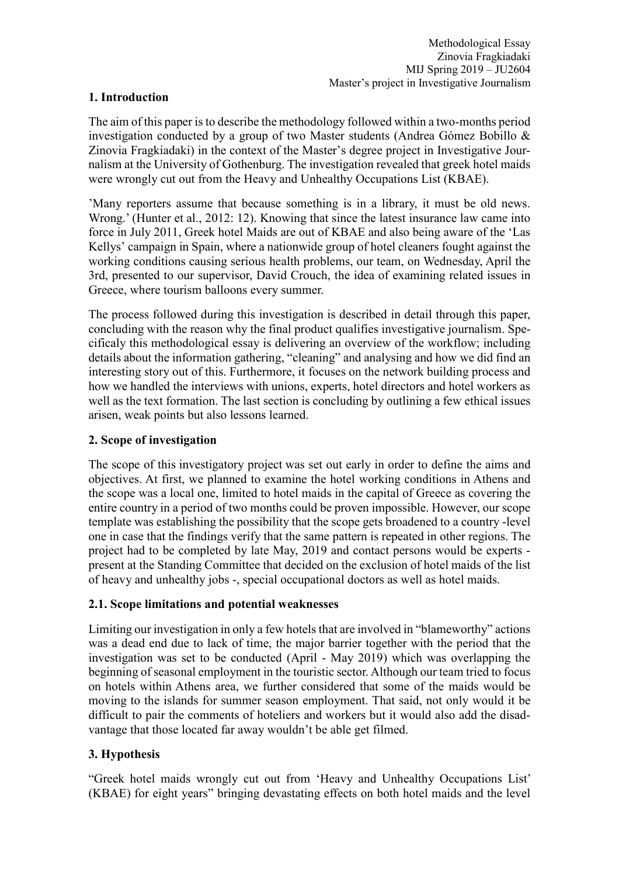## **1. Introduction**

The aim of this paper is to describe the methodology followed within a two-months period investigation conducted by a group of two Master students (Andrea Gómez Bobillo & Zinovia Fragkiadaki) in the context of the Master's degree project in Investigative Journalism at the University of Gothenburg. The investigation revealed that greek hotel maids were wrongly cut out from the Heavy and Unhealthy Occupations List (KBAE).

'Many reporters assume that because something is in a library, it must be old news. Wrong.' (Hunter et al., 2012: 12). Knowing that since the latest insurance law came into force in July 2011, Greek hotel Maids are out of KBAE and also being aware of the 'Las Kellys' campaign in Spain, where a nationwide group of hotel cleaners fought against the working conditions causing serious health problems, our team, on Wednesday, April the 3rd, presented to our supervisor, David Crouch, the idea of examining related issues in Greece, where tourism balloons every summer.

The process followed during this investigation is described in detail through this paper, concluding with the reason why the final product qualifies investigative journalism. Specificaly this methodological essay is delivering an overview of the workflow; including details about the information gathering, "cleaning" and analysing and how we did find an interesting story out of this. Furthermore, it focuses on the network building process and how we handled the interviews with unions, experts, hotel directors and hotel workers as well as the text formation. The last section is concluding by outlining a few ethical issues arisen, weak points but also lessons learned.

#### **2. Scope of investigation**

The scope of this investigatory project was set out early in order to define the aims and objectives. At first, we planned to examine the hotel working conditions in Athens and the scope was a local one, limited to hotel maids in the capital of Greece as covering the entire country in a period of two months could be proven impossible. However, our scope template was establishing the possibility that the scope gets broadened to a country -level one in case that the findings verify that the same pattern is repeated in other regions. The project had to be completed by late May, 2019 and contact persons would be experts present at the Standing Committee that decided on the exclusion of hotel maids of the list of heavy and unhealthy jobs -, special occupational doctors as well as hotel maids.

## **2.1. Scope limitations and potential weaknesses**

Limiting our investigation in only a few hotels that are involved in "blameworthy" actions was a dead end due to lack of time, the major barrier together with the period that the investigation was set to be conducted (April - May 2019) which was overlapping the beginning of seasonal employment in the touristic sector. Although our team tried to focus on hotels within Athens area, we further considered that some of the maids would be moving to the islands for summer season employment. That said, not only would it be difficult to pair the comments of hoteliers and workers but it would also add the disadvantage that those located far away wouldn't be able get filmed.

## **3. Hypothesis**

"Greek hotel maids wrongly cut out from 'Heavy and Unhealthy Occupations List' (KBAE) for eight years" bringing devastating effects on both hotel maids and the level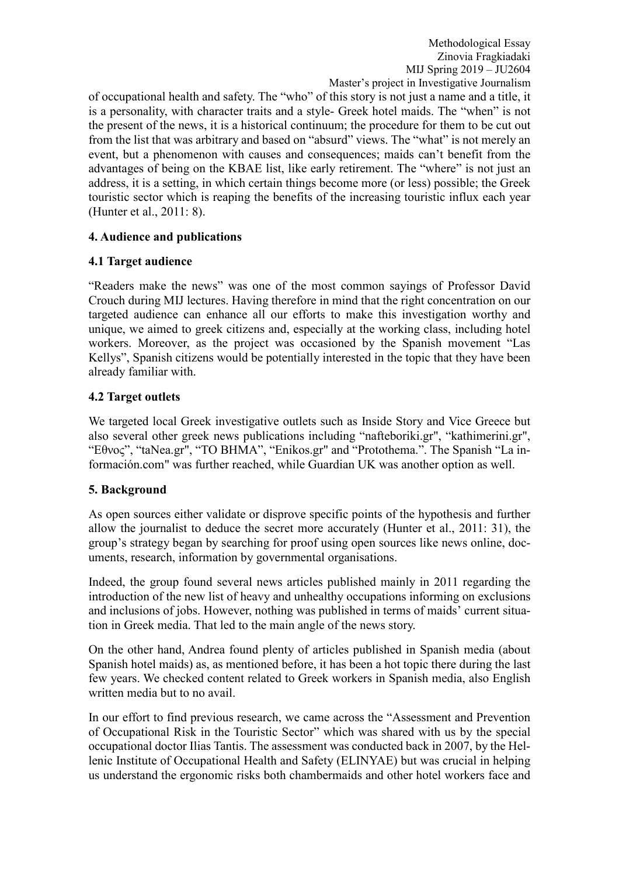of occupational health and safety. The "who" of this story is not just a name and a title, it is a personality, with character traits and a style- Greek hotel maids. The "when" is not the present of the news, it is a historical continuum; the procedure for them to be cut out from the list that was arbitrary and based on "absurd" views. The "what" is not merely an event, but a phenomenon with causes and consequences; maids can't benefit from the advantages of being on the KBAE list, like early retirement. The "where" is not just an address, it is a setting, in which certain things become more (or less) possible; the Greek touristic sector which is reaping the benefits of the increasing touristic influx each year (Hunter et al., 2011: 8).

# **4. Audience and publications**

# **4.1 Target audience**

"Readers make the news" was one of the most common sayings of Professor David Crouch during MIJ lectures. Having therefore in mind that the right concentration on our targeted audience can enhance all our efforts to make this investigation worthy and unique, we aimed to greek citizens and, especially at the working class, including hotel workers. Moreover, as the project was occasioned by the Spanish movement "Las Kellys", Spanish citizens would be potentially interested in the topic that they have been already familiar with.

# **4.2 Target outlets**

We targeted local Greek investigative outlets such as Inside Story and Vice Greece but also several other greek news publications including "nafteboriki.gr", "kathimerini.gr", "Εθνος", "taNea.gr", "TO BHMA", "Enikos.gr" and "Protothema.". The Spanish "La información.com" was further reached, while Guardian UK was another option as well.

## **5. Background**

As open sources either validate or disprove specific points of the hypothesis and further allow the journalist to deduce the secret more accurately (Hunter et al., 2011: 31), the group's strategy began by searching for proof using open sources like news online, documents, research, information by governmental organisations.

Indeed, the group found several news articles published mainly in 2011 regarding the introduction of the new list of heavy and unhealthy occupations informing on exclusions and inclusions of jobs. However, nothing was published in terms of maids' current situation in Greek media. That led to the main angle of the news story.

On the other hand, Andrea found plenty of articles published in Spanish media (about Spanish hotel maids) as, as mentioned before, it has been a hot topic there during the last few years. We checked content related to Greek workers in Spanish media, also English written media but to no avail.

In our effort to find previous research, we came across the "Assessment and Prevention of Occupational Risk in the Touristic Sector" which was shared with us by the special occupational doctor Ilias Tantis. The assessment was conducted back in 2007, by the Hellenic Institute of Occupational Health and Safety (ELINYAE) but was crucial in helping us understand the ergonomic risks both chambermaids and other hotel workers face and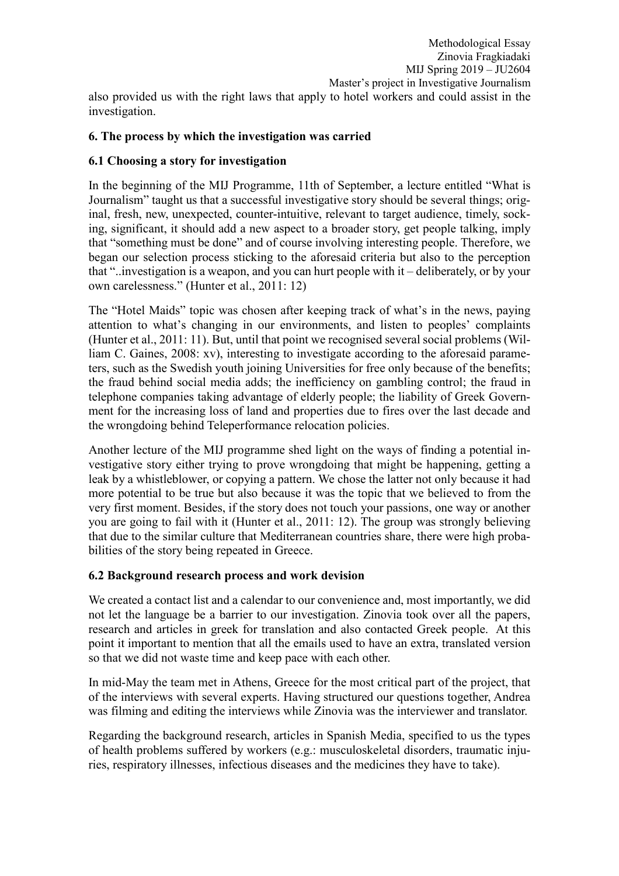## **6. The process by which the investigation was carried**

#### **6.1 Choosing a story for investigation**

In the beginning of the MIJ Programme, 11th of September, a lecture entitled "What is Journalism" taught us that a successful investigative story should be several things; original, fresh, new, unexpected, counter-intuitive, relevant to target audience, timely, socking, significant, it should add a new aspect to a broader story, get people talking, imply that "something must be done" and of course involving interesting people. Therefore, we began our selection process sticking to the aforesaid criteria but also to the perception that "..investigation is a weapon, and you can hurt people with it – deliberately, or by your own carelessness." (Hunter et al., 2011: 12)

The "Hotel Maids" topic was chosen after keeping track of what's in the news, paying attention to what's changing in our environments, and listen to peoples' complaints (Hunter et al., 2011: 11). But, until that point we recognised several social problems (William C. Gaines, 2008: xv), interesting to investigate according to the aforesaid parameters, such as the Swedish youth joining Universities for free only because of the benefits; the fraud behind social media adds; the inefficiency on gambling control; the fraud in telephone companies taking advantage of elderly people; the liability of Greek Government for the increasing loss of land and properties due to fires over the last decade and the wrongdoing behind Teleperformance relocation policies.

Another lecture of the MIJ programme shed light on the ways of finding a potential investigative story either trying to prove wrongdoing that might be happening, getting a leak by a whistleblower, or copying a pattern. We chose the latter not only because it had more potential to be true but also because it was the topic that we believed to from the very first moment. Besides, if the story does not touch your passions, one way or another you are going to fail with it (Hunter et al., 2011: 12). The group was strongly believing that due to the similar culture that Mediterranean countries share, there were high probabilities of the story being repeated in Greece.

#### **6.2 Background research process and work devision**

We created a contact list and a calendar to our convenience and, most importantly, we did not let the language be a barrier to our investigation. Zinovia took over all the papers, research and articles in greek for translation and also contacted Greek people. At this point it important to mention that all the emails used to have an extra, translated version so that we did not waste time and keep pace with each other.

In mid-May the team met in Athens, Greece for the most critical part of the project, that of the interviews with several experts. Having structured our questions together, Andrea was filming and editing the interviews while Zinovia was the interviewer and translator.

Regarding the background research, articles in Spanish Media, specified to us the types of health problems suffered by workers (e.g.: musculoskeletal disorders, traumatic injuries, respiratory illnesses, infectious diseases and the medicines they have to take).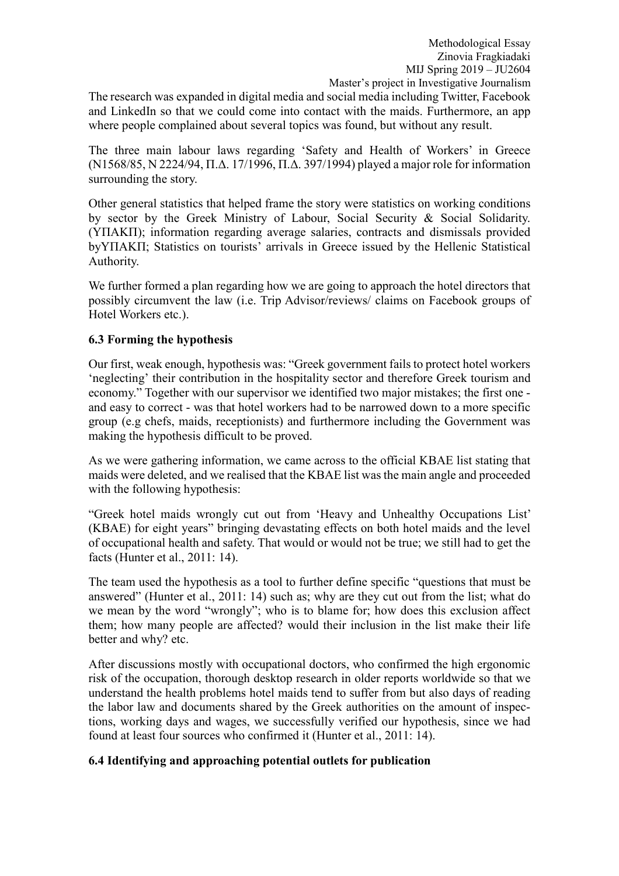The research was expanded in digital media and social media including Twitter, Facebook and LinkedIn so that we could come into contact with the maids. Furthermore, an app where people complained about several topics was found, but without any result.

The three main labour laws regarding 'Safety and Health of Workers' in Greece (N1568/85, N 2224/94, Π.Δ. 17/1996, Π.Δ. 397/1994) played a major role for information surrounding the story.

Other general statistics that helped frame the story were statistics on working conditions by sector by the Greek Ministry of Labour, Social Security & Social Solidarity. (YΠΑΚΠ); information regarding average salaries, contracts and dismissals provided byΥΠΑΚΠ; Statistics on tourists' arrivals in Greece issued by the Hellenic Statistical Authority.

We further formed a plan regarding how we are going to approach the hotel directors that possibly circumvent the law (i.e. Trip Advisor/reviews/ claims on Facebook groups of Hotel Workers etc.).

## **6.3 Forming the hypothesis**

Our first, weak enough, hypothesis was: "Greek government fails to protect hotel workers 'neglecting' their contribution in the hospitality sector and therefore Greek tourism and economy." Together with our supervisor we identified two major mistakes; the first one and easy to correct - was that hotel workers had to be narrowed down to a more specific group (e.g chefs, maids, receptionists) and furthermore including the Government was making the hypothesis difficult to be proved.

As we were gathering information, we came across to the official KBAE list stating that maids were deleted, and we realised that the KBAE list was the main angle and proceeded with the following hypothesis:

"Greek hotel maids wrongly cut out from 'Heavy and Unhealthy Occupations List' (KBAE) for eight years" bringing devastating effects on both hotel maids and the level of occupational health and safety. That would or would not be true; we still had to get the facts (Hunter et al., 2011: 14).

The team used the hypothesis as a tool to further define specific "questions that must be answered" (Hunter et al., 2011: 14) such as; why are they cut out from the list; what do we mean by the word "wrongly"; who is to blame for; how does this exclusion affect them; how many people are affected? would their inclusion in the list make their life better and why? etc.

After discussions mostly with occupational doctors, who confirmed the high ergonomic risk of the occupation, thorough desktop research in older reports worldwide so that we understand the health problems hotel maids tend to suffer from but also days of reading the labor law and documents shared by the Greek authorities on the amount of inspections, working days and wages, we successfully verified our hypothesis, since we had found at least four sources who confirmed it (Hunter et al., 2011: 14).

# **6.4 Identifying and approaching potential outlets for publication**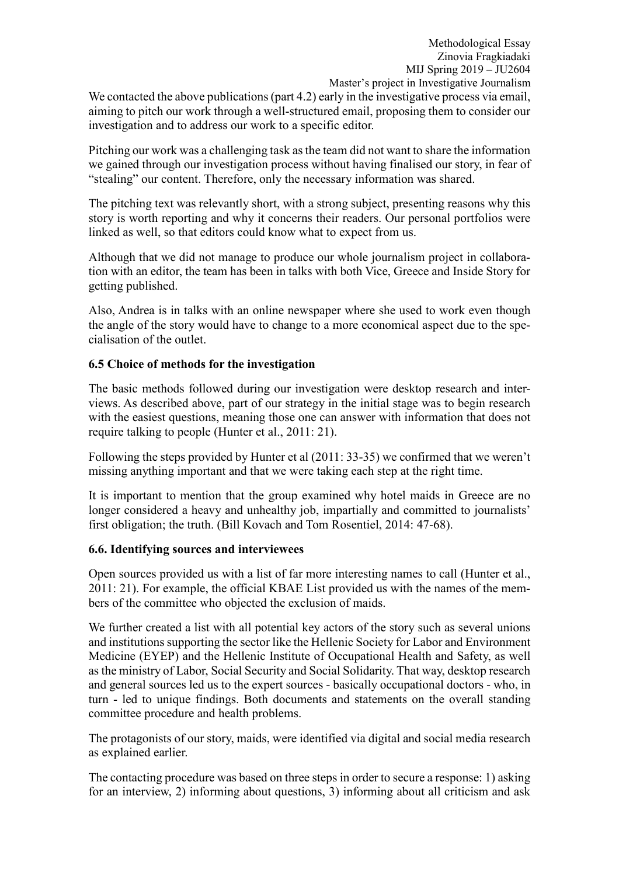We contacted the above publications (part 4.2) early in the investigative process via email, aiming to pitch our work through a well-structured email, proposing them to consider our investigation and to address our work to a specific editor.

Pitching our work was a challenging task asthe team did not want to share the information we gained through our investigation process without having finalised our story, in fear of "stealing" our content. Therefore, only the necessary information was shared.

The pitching text was relevantly short, with a strong subject, presenting reasons why this story is worth reporting and why it concerns their readers. Our personal portfolios were linked as well, so that editors could know what to expect from us.

Although that we did not manage to produce our whole journalism project in collaboration with an editor, the team has been in talks with both Vice, Greece and Inside Story for getting published.

Also, Andrea is in talks with an online newspaper where she used to work even though the angle of the story would have to change to a more economical aspect due to the specialisation of the outlet.

# **6.5 Choice of methods for the investigation**

The basic methods followed during our investigation were desktop research and interviews. As described above, part of our strategy in the initial stage was to begin research with the easiest questions, meaning those one can answer with information that does not require talking to people (Hunter et al., 2011: 21).

Following the steps provided by Hunter et al (2011: 33-35) we confirmed that we weren't missing anything important and that we were taking each step at the right time.

It is important to mention that the group examined why hotel maids in Greece are no longer considered a heavy and unhealthy job, impartially and committed to journalists' first obligation; the truth. (Bill Kovach and Tom Rosentiel, 2014: 47-68).

## **6.6. Identifying sources and interviewees**

Open sources provided us with a list of far more interesting names to call (Hunter et al., 2011: 21). For example, the official KBAE List provided us with the names of the members of the committee who objected the exclusion of maids.

We further created a list with all potential key actors of the story such as several unions and institutions supporting the sector like the Hellenic Society for Labor and Environment Medicine (EYEP) and the Hellenic Institute of Occupational Health and Safety, as well as the ministry of Labor, Social Security and Social Solidarity. That way, desktop research and general sources led us to the expert sources - basically occupational doctors - who, in turn - led to unique findings. Both documents and statements on the overall standing committee procedure and health problems.

The protagonists of our story, maids, were identified via digital and social media research as explained earlier.

The contacting procedure was based on three steps in order to secure a response: 1) asking for an interview, 2) informing about questions, 3) informing about all criticism and ask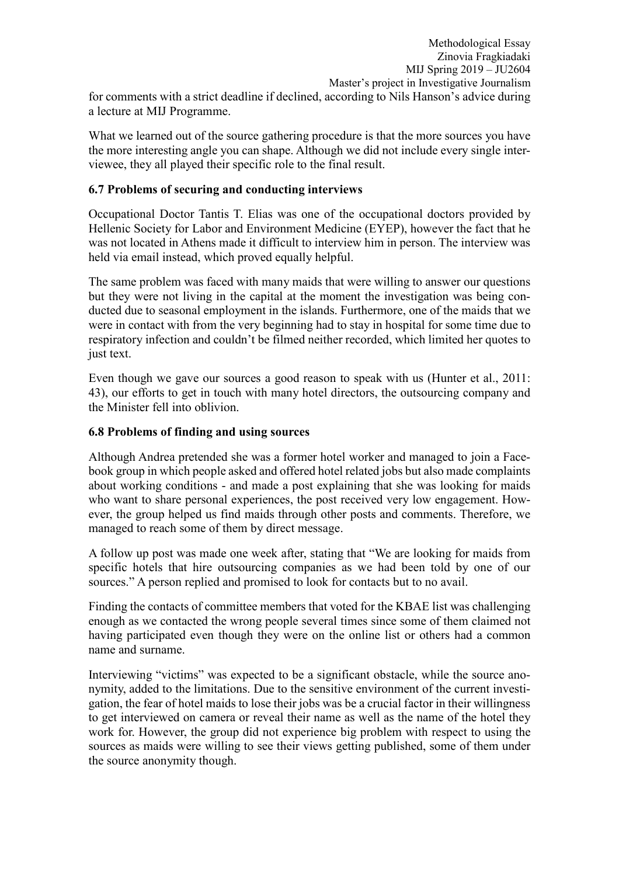What we learned out of the source gathering procedure is that the more sources you have the more interesting angle you can shape. Although we did not include every single interviewee, they all played their specific role to the final result.

## **6.7 Problems of securing and conducting interviews**

Occupational Doctor Tantis T. Elias was one of the occupational doctors provided by Hellenic Society for Labor and Environment Medicine (EYEP), however the fact that he was not located in Athens made it difficult to interview him in person. The interview was held via email instead, which proved equally helpful.

The same problem was faced with many maids that were willing to answer our questions but they were not living in the capital at the moment the investigation was being conducted due to seasonal employment in the islands. Furthermore, one of the maids that we were in contact with from the very beginning had to stay in hospital for some time due to respiratory infection and couldn't be filmed neither recorded, which limited her quotes to just text.

Even though we gave our sources a good reason to speak with us (Hunter et al., 2011: 43), our efforts to get in touch with many hotel directors, the outsourcing company and the Minister fell into oblivion.

# **6.8 Problems of finding and using sources**

Although Andrea pretended she was a former hotel worker and managed to join a Facebook group in which people asked and offered hotel related jobs but also made complaints about working conditions - and made a post explaining that she was looking for maids who want to share personal experiences, the post received very low engagement. However, the group helped us find maids through other posts and comments. Therefore, we managed to reach some of them by direct message.

A follow up post was made one week after, stating that "We are looking for maids from specific hotels that hire outsourcing companies as we had been told by one of our sources." A person replied and promised to look for contacts but to no avail.

Finding the contacts of committee members that voted for the KBAE list was challenging enough as we contacted the wrong people several times since some of them claimed not having participated even though they were on the online list or others had a common name and surname.

Interviewing "victims" was expected to be a significant obstacle, while the source anonymity, added to the limitations. Due to the sensitive environment of the current investigation, the fear of hotel maids to lose their jobs was be a crucial factor in their willingness to get interviewed on camera or reveal their name as well as the name of the hotel they work for. However, the group did not experience big problem with respect to using the sources as maids were willing to see their views getting published, some of them under the source anonymity though.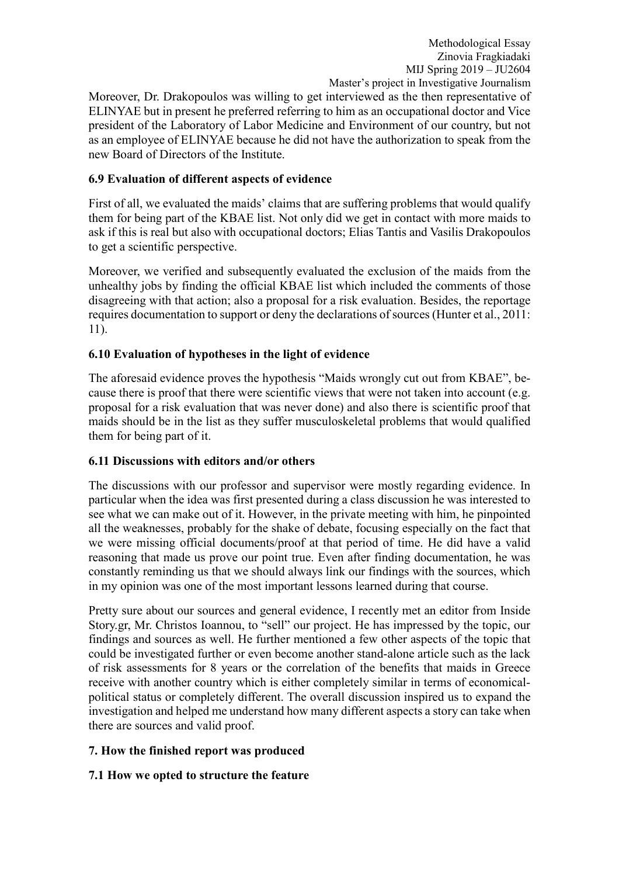Moreover, Dr. Drakopoulos was willing to get interviewed as the then representative of ELINYAE but in present he preferred referring to him as an occupational doctor and Vice president of the Laboratory of Labor Medicine and Environment of our country, but not as an employee of ELINYAE because he did not have the authorization to speak from the new Board of Directors of the Institute.

# **6.9 Evaluation of different aspects of evidence**

First of all, we evaluated the maids' claims that are suffering problems that would qualify them for being part of the KBAE list. Not only did we get in contact with more maids to ask if this is real but also with occupational doctors; Elias Tantis and Vasilis Drakopoulos to get a scientific perspective.

Moreover, we verified and subsequently evaluated the exclusion of the maids from the unhealthy jobs by finding the official KBAE list which included the comments of those disagreeing with that action; also a proposal for a risk evaluation. Besides, the reportage requires documentation to support or deny the declarations of sources(Hunter et al., 2011: 11).

# **6.10 Evaluation of hypotheses in the light of evidence**

The aforesaid evidence proves the hypothesis "Maids wrongly cut out from KBAE", because there is proof that there were scientific views that were not taken into account (e.g. proposal for a risk evaluation that was never done) and also there is scientific proof that maids should be in the list as they suffer musculoskeletal problems that would qualified them for being part of it.

## **6.11 Discussions with editors and/or others**

The discussions with our professor and supervisor were mostly regarding evidence. In particular when the idea was first presented during a class discussion he was interested to see what we can make out of it. However, in the private meeting with him, he pinpointed all the weaknesses, probably for the shake of debate, focusing especially on the fact that we were missing official documents/proof at that period of time. He did have a valid reasoning that made us prove our point true. Even after finding documentation, he was constantly reminding us that we should always link our findings with the sources, which in my opinion was one of the most important lessons learned during that course.

Pretty sure about our sources and general evidence, I recently met an editor from Inside Story.gr, Mr. Christos Ioannou, to "sell" our project. He has impressed by the topic, our findings and sources as well. He further mentioned a few other aspects of the topic that could be investigated further or even become another stand-alone article such as the lack of risk assessments for 8 years or the correlation of the benefits that maids in Greece receive with another country which is either completely similar in terms of economicalpolitical status or completely different. The overall discussion inspired us to expand the investigation and helped me understand how many different aspects a story can take when there are sources and valid proof.

## **7. How the finished report was produced**

## **7.1 How we opted to structure the feature**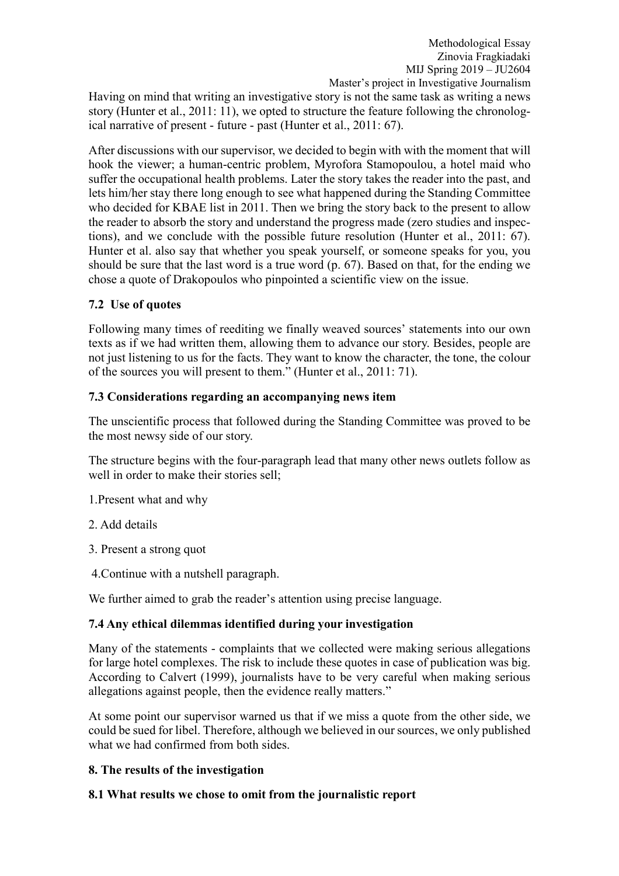Having on mind that writing an investigative story is not the same task as writing a news story (Hunter et al., 2011: 11), we opted to structure the feature following the chronological narrative of present - future - past (Hunter et al., 2011: 67).

After discussions with our supervisor, we decided to begin with with the moment that will hook the viewer; a human-centric problem, Myrofora Stamopoulou, a hotel maid who suffer the occupational health problems. Later the story takes the reader into the past, and lets him/her stay there long enough to see what happened during the Standing Committee who decided for KBAE list in 2011. Then we bring the story back to the present to allow the reader to absorb the story and understand the progress made (zero studies and inspections), and we conclude with the possible future resolution (Hunter et al., 2011: 67). Hunter et al. also say that whether you speak yourself, or someone speaks for you, you should be sure that the last word is a true word (p. 67). Based on that, for the ending we chose a quote of Drakopoulos who pinpointed a scientific view on the issue.

# **7.2 Use of quotes**

Following many times of reediting we finally weaved sources' statements into our own texts as if we had written them, allowing them to advance our story. Besides, people are not just listening to us for the facts. They want to know the character, the tone, the colour of the sources you will present to them." (Hunter et al., 2011: 71).

# **7.3 Considerations regarding an accompanying news item**

The unscientific process that followed during the Standing Committee was proved to be the most newsy side of our story.

The structure begins with the four-paragraph lead that many other news outlets follow as well in order to make their stories sell;

- 1.Present what and why
- 2. Add details
- 3. Present a strong quot
- 4.Continue with a nutshell paragraph.

We further aimed to grab the reader's attention using precise language.

# **7.4 Any ethical dilemmas identified during your investigation**

Many of the statements - complaints that we collected were making serious allegations for large hotel complexes. The risk to include these quotes in case of publication was big. According to Calvert (1999), journalists have to be very careful when making serious allegations against people, then the evidence really matters."

At some point our supervisor warned us that if we miss a quote from the other side, we could be sued for libel. Therefore, although we believed in our sources, we only published what we had confirmed from both sides.

# **8. The results of the investigation**

# **8.1 What results we chose to omit from the journalistic report**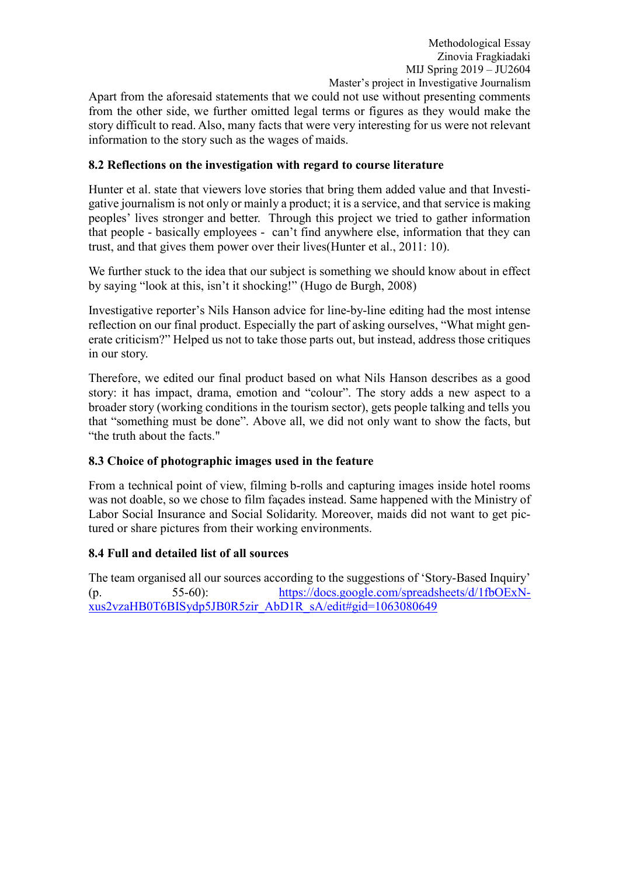Apart from the aforesaid statements that we could not use without presenting comments from the other side, we further omitted legal terms or figures as they would make the story difficult to read. Also, many facts that were very interesting for us were not relevant information to the story such as the wages of maids.

# **8.2 Reflections on the investigation with regard to course literature**

Hunter et al. state that viewers love stories that bring them added value and that Investigative journalism is not only or mainly a product; it is a service, and that service is making peoples' lives stronger and better. Through this project we tried to gather information that people - basically employees - can't find anywhere else, information that they can trust, and that gives them power over their lives(Hunter et al., 2011: 10).

We further stuck to the idea that our subject is something we should know about in effect by saying "look at this, isn't it shocking!" (Hugo de Burgh, 2008)

Investigative reporter's Nils Hanson advice for line-by-line editing had the most intense reflection on our final product. Especially the part of asking ourselves, "What might generate criticism?" Helped us not to take those parts out, but instead, address those critiques in our story.

Therefore, we edited our final product based on what Nils Hanson describes as a good story: it has impact, drama, emotion and "colour". The story adds a new aspect to a broader story (working conditions in the tourism sector), gets people talking and tells you that "something must be done". Above all, we did not only want to show the facts, but "the truth about the facts."

# **8.3 Choice of photographic images used in the feature**

From a technical point of view, filming b-rolls and capturing images inside hotel rooms was not doable, so we chose to film façades instead. Same happened with the Ministry of Labor Social Insurance and Social Solidarity. Moreover, maids did not want to get pictured or share pictures from their working environments.

## **8.4 Full and detailed list of all sources**

The team organised all our sources according to the suggestions of 'Story-Based Inquiry' (p. 55-60): [https://docs.google.com/spreadsheets/d/1fbOExN](https://docs.google.com/spreadsheets/d/1fbOExN-xus2vzaHB0T6BISydp5JB0R5zir_AbD1R_sA/edit%23gid=1063080649)[xus2vzaHB0T6BISydp5JB0R5zir\\_AbD1R\\_sA/edit#gid=1063080649](https://docs.google.com/spreadsheets/d/1fbOExN-xus2vzaHB0T6BISydp5JB0R5zir_AbD1R_sA/edit%23gid=1063080649)